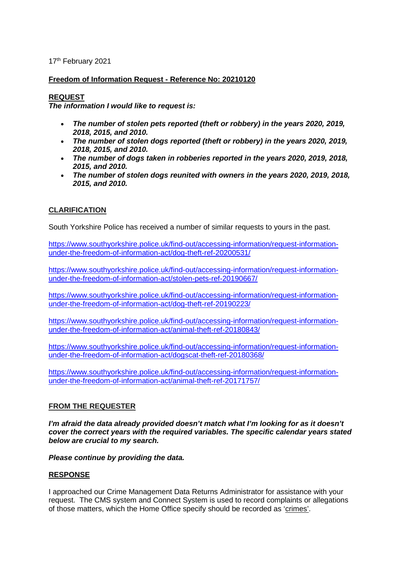17<sup>th</sup> February 2021

# **Freedom of Information Request - Reference No: 20210120**

# **REQUEST**

*The information I would like to request is:*

- *The number of stolen pets reported (theft or robbery) in the years 2020, 2019, 2018, 2015, and 2010.*
- *The number of stolen dogs reported (theft or robbery) in the years 2020, 2019, 2018, 2015, and 2010.*
- *The number of dogs taken in robberies reported in the years 2020, 2019, 2018, 2015, and 2010.*
- *The number of stolen dogs reunited with owners in the years 2020, 2019, 2018, 2015, and 2010.*

# **CLARIFICATION**

South Yorkshire Police has received a number of similar requests to yours in the past.

[https://www.southyorkshire.police.uk/find-out/accessing-information/request-information](https://www.southyorkshire.police.uk/find-out/accessing-information/request-information-under-the-freedom-of-information-act/dog-theft-ref-20200531/)[under-the-freedom-of-information-act/dog-theft-ref-20200531/](https://www.southyorkshire.police.uk/find-out/accessing-information/request-information-under-the-freedom-of-information-act/dog-theft-ref-20200531/)

[https://www.southyorkshire.police.uk/find-out/accessing-information/request-information](https://www.southyorkshire.police.uk/find-out/accessing-information/request-information-under-the-freedom-of-information-act/stolen-pets-ref-20190667/)[under-the-freedom-of-information-act/stolen-pets-ref-20190667/](https://www.southyorkshire.police.uk/find-out/accessing-information/request-information-under-the-freedom-of-information-act/stolen-pets-ref-20190667/)

[https://www.southyorkshire.police.uk/find-out/accessing-information/request-information](https://www.southyorkshire.police.uk/find-out/accessing-information/request-information-under-the-freedom-of-information-act/dog-theft-ref-20190223/)[under-the-freedom-of-information-act/dog-theft-ref-20190223/](https://www.southyorkshire.police.uk/find-out/accessing-information/request-information-under-the-freedom-of-information-act/dog-theft-ref-20190223/)

[https://www.southyorkshire.police.uk/find-out/accessing-information/request-information](https://www.southyorkshire.police.uk/find-out/accessing-information/request-information-under-the-freedom-of-information-act/animal-theft-ref-20180843/)[under-the-freedom-of-information-act/animal-theft-ref-20180843/](https://www.southyorkshire.police.uk/find-out/accessing-information/request-information-under-the-freedom-of-information-act/animal-theft-ref-20180843/)

[https://www.southyorkshire.police.uk/find-out/accessing-information/request-information](https://www.southyorkshire.police.uk/find-out/accessing-information/request-information-under-the-freedom-of-information-act/dogscat-theft-ref-20180368/)[under-the-freedom-of-information-act/dogscat-theft-ref-20180368/](https://www.southyorkshire.police.uk/find-out/accessing-information/request-information-under-the-freedom-of-information-act/dogscat-theft-ref-20180368/)

[https://www.southyorkshire.police.uk/find-out/accessing-information/request-information](https://www.southyorkshire.police.uk/find-out/accessing-information/request-information-under-the-freedom-of-information-act/animal-theft-ref-20171757/)[under-the-freedom-of-information-act/animal-theft-ref-20171757/](https://www.southyorkshire.police.uk/find-out/accessing-information/request-information-under-the-freedom-of-information-act/animal-theft-ref-20171757/)

# **FROM THE REQUESTER**

*I'm afraid the data already provided doesn't match what I'm looking for as it doesn't cover the correct years with the required variables. The specific calendar years stated below are crucial to my search.*

*Please continue by providing the data.*

# **RESPONSE**

I approached our Crime Management Data Returns Administrator for assistance with your request. The CMS system and Connect System is used to record complaints or allegations of those matters, which the Home Office specify should be recorded as 'crimes'.